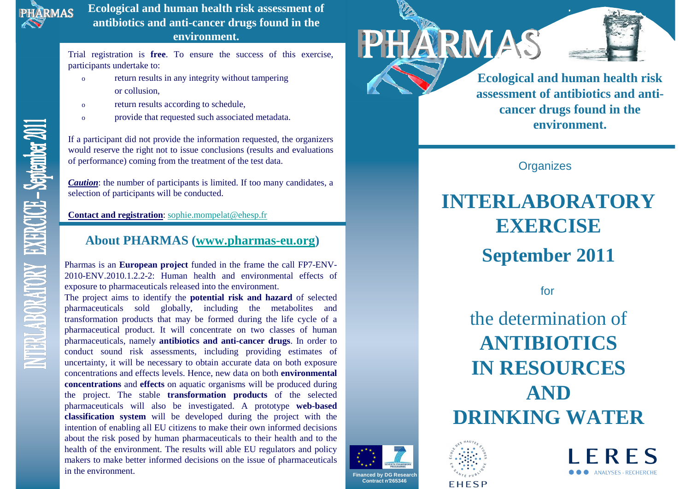

**Ecological and human health risk assessment of antibiotics and anti-cancer drugs found in the environment.**

Trial registration is **free**. To ensure the success of this exercise, participants undertake to:

- o return results in any integrity without tampering or collusion,
- oreturn results according to schedule,
- oprovide that requested such associated metadata.

If a participant did not provide the information requested, the organizers would reserve the right not to issue conclusions (results and evaluations of performance) coming from the treatment of the test data.

*Caution*: the number of participants is limited. If too many candidates, a selection of participants will be conducted.

**Contact and registration**: sophie.mompelat@ehesp.fr

## **About PHARMAS (www.pharmas-eu.org)**

Pharmas is an **European project** funded in the frame the call FP7-ENV-2010-ENV.2010.1.2.2-2: Human health and environmental effects of exposure to pharmaceuticals released into the environment.

 The project aims to identify the **potential risk and hazard** of selected pharmaceuticals sold globally, including the metabolites and transformation products that may be formed during the life cycle of a pharmaceutical product. It will concentrate on two classes of human pharmaceuticals, namely **antibiotics and anti-cancer drugs**. In order to conduct sound risk assessments, including providing estimates of uncertainty, it will be necessary to obtain accurate data on both exposure concentrations and effects levels. Hence, new data on both **environmental concentrations** and **effects** on aquatic organisms will be produced during the project. The stable **transformation products** of the selected pharmaceuticals will also be investigated. A prototype **web-based classification system** will be developed during the project with the intention of anobling all EU citizens to make their own informed decisions. intention of enabling all EU citizens to make their own informed decisions about the risk posed by human pharmaceuticals to their health and to the health of the environment. The results will able EU regulators and policy makers to make better informed decisions on the issue of pharmaceuticals in the environment.







**Ecological and human health risk assessment of antibiotics and anticancer drugs found in the environment.**

**Organizes** 

PHARMAS

# **INTERLABORATORY EXERCISE**

## **September 2011**

for

the determination of**ANTIBIOTICS IN RESOURCES AND DRINKING WATER**